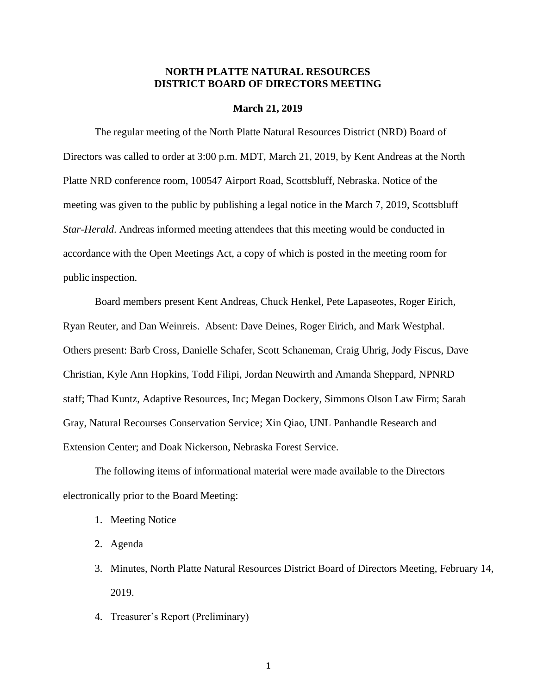### **NORTH PLATTE NATURAL RESOURCES DISTRICT BOARD OF DIRECTORS MEETING**

#### **March 21, 2019**

The regular meeting of the North Platte Natural Resources District (NRD) Board of Directors was called to order at 3:00 p.m. MDT, March 21, 2019, by Kent Andreas at the North Platte NRD conference room, 100547 Airport Road, Scottsbluff, Nebraska. Notice of the meeting was given to the public by publishing a legal notice in the March 7, 2019, Scottsbluff *Star-Herald*. Andreas informed meeting attendees that this meeting would be conducted in accordance with the Open Meetings Act, a copy of which is posted in the meeting room for public inspection.

Board members present Kent Andreas, Chuck Henkel, Pete Lapaseotes, Roger Eirich, Ryan Reuter, and Dan Weinreis. Absent: Dave Deines, Roger Eirich, and Mark Westphal. Others present: Barb Cross, Danielle Schafer, Scott Schaneman, Craig Uhrig, Jody Fiscus, Dave Christian, Kyle Ann Hopkins, Todd Filipi, Jordan Neuwirth and Amanda Sheppard, NPNRD staff; Thad Kuntz, Adaptive Resources, Inc; Megan Dockery, Simmons Olson Law Firm; Sarah Gray, Natural Recourses Conservation Service; Xin Qiao, UNL Panhandle Research and Extension Center; and Doak Nickerson, Nebraska Forest Service.

The following items of informational material were made available to the Directors electronically prior to the Board Meeting:

- 1. Meeting Notice
- 2. Agenda
- 3. Minutes, North Platte Natural Resources District Board of Directors Meeting, February 14, 2019.
- 4. Treasurer's Report (Preliminary)

1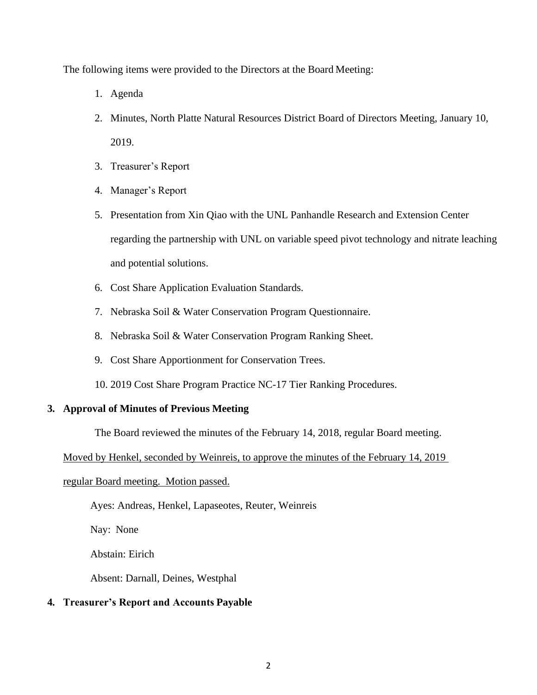The following items were provided to the Directors at the Board Meeting:

- 1. Agenda
- 2. Minutes, North Platte Natural Resources District Board of Directors Meeting, January 10, 2019.
- 3. Treasurer's Report
- 4. Manager's Report
- 5. Presentation from Xin Qiao with the UNL Panhandle Research and Extension Center regarding the partnership with UNL on variable speed pivot technology and nitrate leaching and potential solutions.
- 6. Cost Share Application Evaluation Standards.
- 7. Nebraska Soil & Water Conservation Program Questionnaire.
- 8. Nebraska Soil & Water Conservation Program Ranking Sheet.
- 9. Cost Share Apportionment for Conservation Trees.
- 10. 2019 Cost Share Program Practice NC-17 Tier Ranking Procedures.

## **3. Approval of Minutes of Previous Meeting**

The Board reviewed the minutes of the February 14, 2018, regular Board meeting.

Moved by Henkel, seconded by Weinreis, to approve the minutes of the February 14, 2019

## regular Board meeting. Motion passed.

Ayes: Andreas, Henkel, Lapaseotes, Reuter, Weinreis

Nay: None

Abstain: Eirich

Absent: Darnall, Deines, Westphal

# **4. Treasurer's Report and Accounts Payable**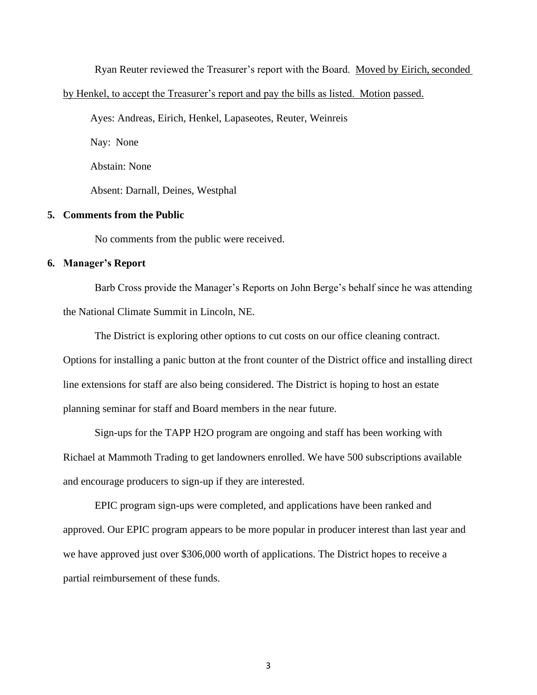Ryan Reuter reviewed the Treasurer's report with the Board. Moved by Eirich, seconded

by Henkel, to accept the Treasurer's report and pay the bills as listed. Motion passed.

Ayes: Andreas, Eirich, Henkel, Lapaseotes, Reuter, Weinreis

Nay: None

Abstain: None

Absent: Darnall, Deines, Westphal

### **5. Comments from the Public**

No comments from the public were received.

### **6. Manager's Report**

Barb Cross provide the Manager's Reports on John Berge's behalf since he was attending the National Climate Summit in Lincoln, NE.

The District is exploring other options to cut costs on our office cleaning contract. Options for installing a panic button at the front counter of the District office and installing direct line extensions for staff are also being considered. The District is hoping to host an estate planning seminar for staff and Board members in the near future.

Sign-ups for the TAPP H2O program are ongoing and staff has been working with Richael at Mammoth Trading to get landowners enrolled. We have 500 subscriptions available and encourage producers to sign-up if they are interested.

EPIC program sign-ups were completed, and applications have been ranked and approved. Our EPIC program appears to be more popular in producer interest than last year and we have approved just over \$306,000 worth of applications. The District hopes to receive a partial reimbursement of these funds.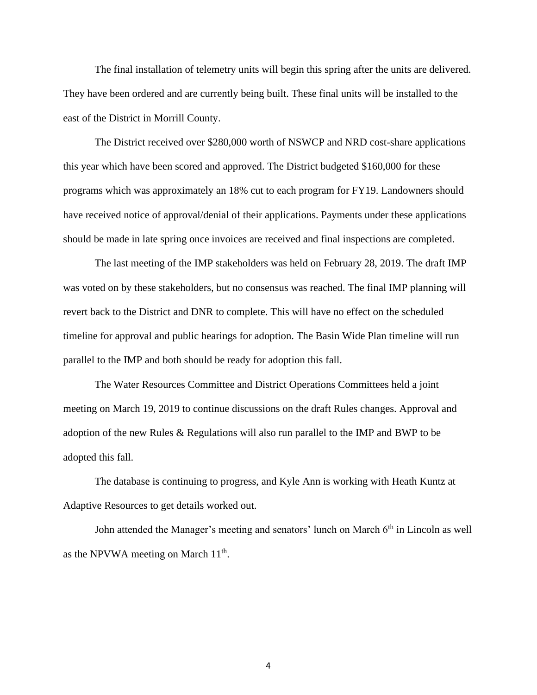The final installation of telemetry units will begin this spring after the units are delivered. They have been ordered and are currently being built. These final units will be installed to the east of the District in Morrill County.

The District received over \$280,000 worth of NSWCP and NRD cost-share applications this year which have been scored and approved. The District budgeted \$160,000 for these programs which was approximately an 18% cut to each program for FY19. Landowners should have received notice of approval/denial of their applications. Payments under these applications should be made in late spring once invoices are received and final inspections are completed.

The last meeting of the IMP stakeholders was held on February 28, 2019. The draft IMP was voted on by these stakeholders, but no consensus was reached. The final IMP planning will revert back to the District and DNR to complete. This will have no effect on the scheduled timeline for approval and public hearings for adoption. The Basin Wide Plan timeline will run parallel to the IMP and both should be ready for adoption this fall.

The Water Resources Committee and District Operations Committees held a joint meeting on March 19, 2019 to continue discussions on the draft Rules changes. Approval and adoption of the new Rules & Regulations will also run parallel to the IMP and BWP to be adopted this fall.

The database is continuing to progress, and Kyle Ann is working with Heath Kuntz at Adaptive Resources to get details worked out.

John attended the Manager's meeting and senators' lunch on March 6<sup>th</sup> in Lincoln as well as the NPVWA meeting on March  $11<sup>th</sup>$ .

4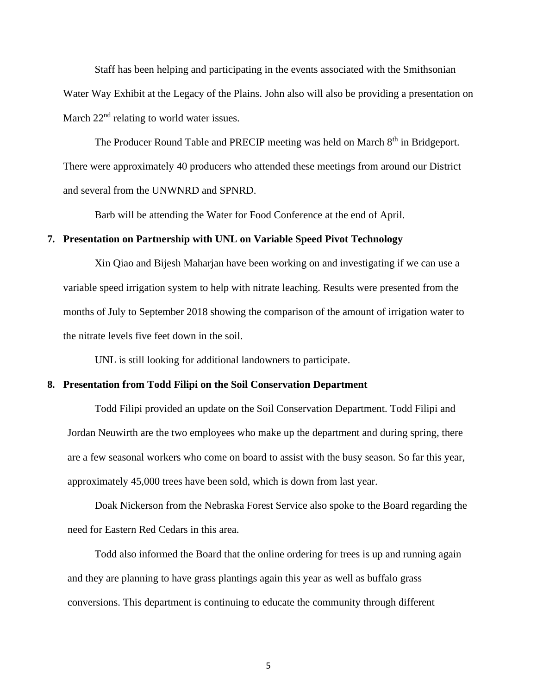Staff has been helping and participating in the events associated with the Smithsonian Water Way Exhibit at the Legacy of the Plains. John also will also be providing a presentation on March 22<sup>nd</sup> relating to world water issues.

The Producer Round Table and PRECIP meeting was held on March 8<sup>th</sup> in Bridgeport. There were approximately 40 producers who attended these meetings from around our District and several from the UNWNRD and SPNRD.

Barb will be attending the Water for Food Conference at the end of April.

### **7. Presentation on Partnership with UNL on Variable Speed Pivot Technology**

Xin Qiao and Bijesh Maharjan have been working on and investigating if we can use a variable speed irrigation system to help with nitrate leaching. Results were presented from the months of July to September 2018 showing the comparison of the amount of irrigation water to the nitrate levels five feet down in the soil.

UNL is still looking for additional landowners to participate.

#### **8. Presentation from Todd Filipi on the Soil Conservation Department**

Todd Filipi provided an update on the Soil Conservation Department. Todd Filipi and Jordan Neuwirth are the two employees who make up the department and during spring, there are a few seasonal workers who come on board to assist with the busy season. So far this year, approximately 45,000 trees have been sold, which is down from last year.

Doak Nickerson from the Nebraska Forest Service also spoke to the Board regarding the need for Eastern Red Cedars in this area.

Todd also informed the Board that the online ordering for trees is up and running again and they are planning to have grass plantings again this year as well as buffalo grass conversions. This department is continuing to educate the community through different

5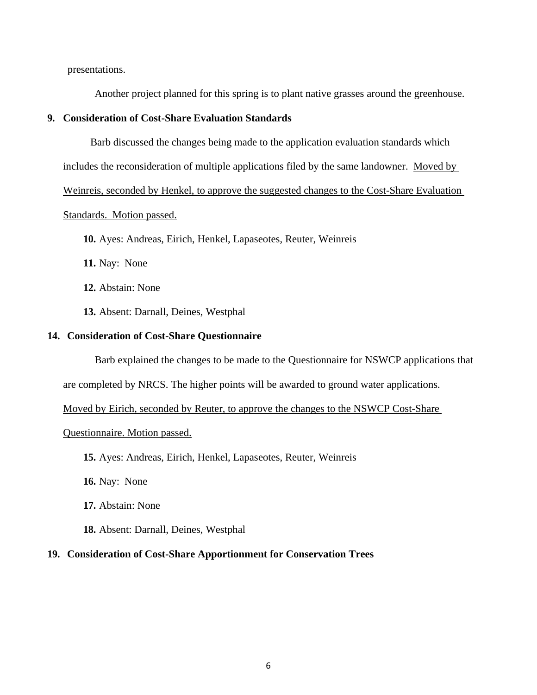presentations.

Another project planned for this spring is to plant native grasses around the greenhouse.

### **9. Consideration of Cost-Share Evaluation Standards**

Barb discussed the changes being made to the application evaluation standards which

includes the reconsideration of multiple applications filed by the same landowner. Moved by

Weinreis, seconded by Henkel, to approve the suggested changes to the Cost-Share Evaluation

### Standards. Motion passed.

**10.** Ayes: Andreas, Eirich, Henkel, Lapaseotes, Reuter, Weinreis

**11.** Nay: None

**12.** Abstain: None

**13.** Absent: Darnall, Deines, Westphal

#### **14. Consideration of Cost-Share Questionnaire**

Barb explained the changes to be made to the Questionnaire for NSWCP applications that

are completed by NRCS. The higher points will be awarded to ground water applications.

Moved by Eirich, seconded by Reuter, to approve the changes to the NSWCP Cost-Share

### Questionnaire. Motion passed.

**15.** Ayes: Andreas, Eirich, Henkel, Lapaseotes, Reuter, Weinreis

**16.** Nay: None

**17.** Abstain: None

**18.** Absent: Darnall, Deines, Westphal

#### **19. Consideration of Cost-Share Apportionment for Conservation Trees**